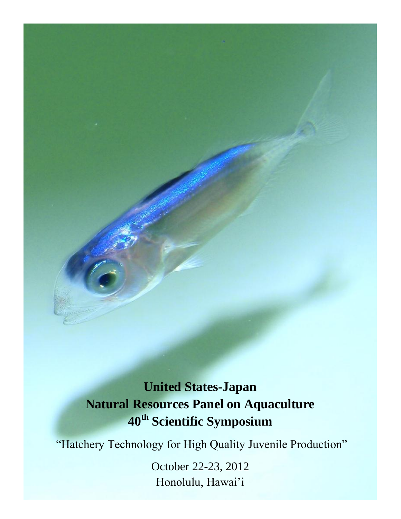# **United States-Japan Natural Resources Panel on Aquaculture 40th Scientific Symposium**

"Hatchery Technology for High Quality Juvenile Production"

October 22-23, 2012 Honolulu, Hawai'i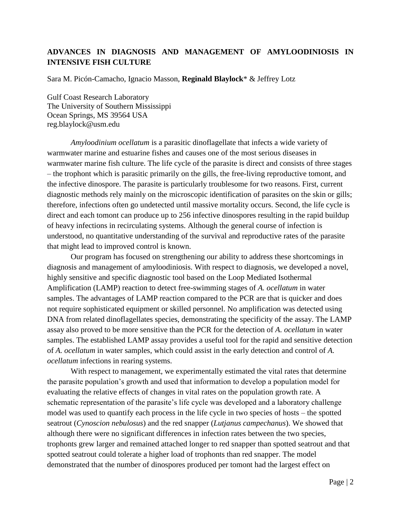## **ADVANCES IN DIAGNOSIS AND MANAGEMENT OF AMYLOODINIOSIS IN INTENSIVE FISH CULTURE**

Sara M. Picón-Camacho, Ignacio Masson, **Reginald Blaylock**\* & Jeffrey Lotz

Gulf Coast Research Laboratory The University of Southern Mississippi Ocean Springs, MS 39564 USA reg.blaylock@usm.edu

*Amyloodinium ocellatum* is a parasitic dinoflagellate that infects a wide variety of warmwater marine and estuarine fishes and causes one of the most serious diseases in warmwater marine fish culture. The life cycle of the parasite is direct and consists of three stages – the trophont which is parasitic primarily on the gills, the free-living reproductive tomont, and the infective dinospore. The parasite is particularly troublesome for two reasons. First, current diagnostic methods rely mainly on the microscopic identification of parasites on the skin or gills; therefore, infections often go undetected until massive mortality occurs. Second, the life cycle is direct and each tomont can produce up to 256 infective dinospores resulting in the rapid buildup of heavy infections in recirculating systems. Although the general course of infection is understood, no quantitative understanding of the survival and reproductive rates of the parasite that might lead to improved control is known.

Our program has focused on strengthening our ability to address these shortcomings in diagnosis and management of amyloodiniosis. With respect to diagnosis, we developed a novel, highly sensitive and specific diagnostic tool based on the Loop Mediated Isothermal Amplification (LAMP) reaction to detect free-swimming stages of *A. ocellatum* in water samples. The advantages of LAMP reaction compared to the PCR are that is quicker and does not require sophisticated equipment or skilled personnel. No amplification was detected using DNA from related dinoflagellates species, demonstrating the specificity of the assay. The LAMP assay also proved to be more sensitive than the PCR for the detection of *A. ocellatum* in water samples. The established LAMP assay provides a useful tool for the rapid and sensitive detection of *A. ocellatum* in water samples, which could assist in the early detection and control of *A. ocellatum* infections in rearing systems.

With respect to management, we experimentally estimated the vital rates that determine the parasite population's growth and used that information to develop a population model for evaluating the relative effects of changes in vital rates on the population growth rate. A schematic representation of the parasite's life cycle was developed and a laboratory challenge model was used to quantify each process in the life cycle in two species of hosts – the spotted seatrout (*Cynoscion nebulosus*) and the red snapper (*Lutjanus campechanus*). We showed that although there were no significant differences in infection rates between the two species, trophonts grew larger and remained attached longer to red snapper than spotted seatrout and that spotted seatrout could tolerate a higher load of trophonts than red snapper. The model demonstrated that the number of dinospores produced per tomont had the largest effect on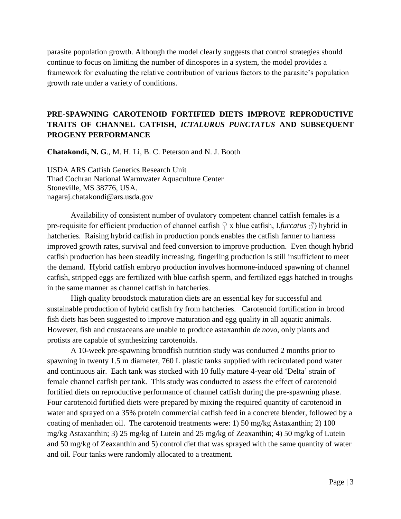parasite population growth. Although the model clearly suggests that control strategies should continue to focus on limiting the number of dinospores in a system, the model provides a framework for evaluating the relative contribution of various factors to the parasite's population growth rate under a variety of conditions.

# **PRE-SPAWNING CAROTENOID FORTIFIED DIETS IMPROVE REPRODUCTIVE TRAITS OF CHANNEL CATFISH,** *ICTALURUS PUNCTATUS* **AND SUBSEQUENT PROGENY PERFORMANCE**

**Chatakondi, N. G**., M. H. Li, B. C. Peterson and N. J. Booth

USDA ARS Catfish Genetics Research Unit Thad Cochran National Warmwater Aquaculture Center Stoneville, MS 38776, USA. nagaraj.chatakondi@ars.usda.gov

Availability of consistent number of ovulatory competent channel catfish females is a pre-requisite for efficient production of channel catfish  $\mathcal{Q}$  x blue catfish, I.*furcatus*  $\mathcal{O}$ ) hybrid in hatcheries. Raising hybrid catfish in production ponds enables the catfish farmer to harness improved growth rates, survival and feed conversion to improve production. Even though hybrid catfish production has been steadily increasing, fingerling production is still insufficient to meet the demand. Hybrid catfish embryo production involves hormone-induced spawning of channel catfish, stripped eggs are fertilized with blue catfish sperm, and fertilized eggs hatched in troughs in the same manner as channel catfish in hatcheries.

High quality broodstock maturation diets are an essential key for successful and sustainable production of hybrid catfish fry from hatcheries. Carotenoid fortification in brood fish diets has been suggested to improve maturation and egg quality in all aquatic animals. However, fish and crustaceans are unable to produce astaxanthin *de novo*, only plants and protists are capable of synthesizing carotenoids.

A 10-week pre-spawning broodfish nutrition study was conducted 2 months prior to spawning in twenty 1.5 m diameter, 760 L plastic tanks supplied with recirculated pond water and continuous air. Each tank was stocked with 10 fully mature 4-year old 'Delta' strain of female channel catfish per tank. This study was conducted to assess the effect of carotenoid fortified diets on reproductive performance of channel catfish during the pre-spawning phase. Four carotenoid fortified diets were prepared by mixing the required quantity of carotenoid in water and sprayed on a 35% protein commercial catfish feed in a concrete blender, followed by a coating of menhaden oil. The carotenoid treatments were: 1) 50 mg/kg Astaxanthin; 2) 100 mg/kg Astaxanthin; 3) 25 mg/kg of Lutein and 25 mg/kg of Zeaxanthin; 4) 50 mg/kg of Lutein and 50 mg/kg of Zeaxanthin and 5) control diet that was sprayed with the same quantity of water and oil. Four tanks were randomly allocated to a treatment.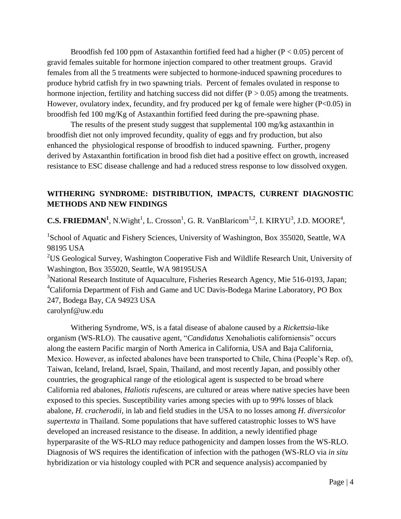Broodfish fed 100 ppm of Astaxanthin fortified feed had a higher ( $P < 0.05$ ) percent of gravid females suitable for hormone injection compared to other treatment groups. Gravid females from all the 5 treatments were subjected to hormone-induced spawning procedures to produce hybrid catfish fry in two spawning trials. Percent of females ovulated in response to hormone injection, fertility and hatching success did not differ  $(P > 0.05)$  among the treatments. However, ovulatory index, fecundity, and fry produced per kg of female were higher (P<0.05) in broodfish fed 100 mg/Kg of Astaxanthin fortified feed during the pre-spawning phase.

The results of the present study suggest that supplemental 100 mg/kg astaxanthin in broodfish diet not only improved fecundity, quality of eggs and fry production, but also enhanced the physiological response of broodfish to induced spawning. Further, progeny derived by Astaxanthin fortification in brood fish diet had a positive effect on growth, increased resistance to ESC disease challenge and had a reduced stress response to low dissolved oxygen.

## **WITHERING SYNDROME: DISTRIBUTION, IMPACTS, CURRENT DIAGNOSTIC METHODS AND NEW FINDINGS**

**C.S. FRIEDMAN<sup>1</sup>**, N.Wight<sup>1</sup>, L. Crosson<sup>1</sup>, G. R. VanBlaricom<sup>1,2</sup>, I. KIRYU<sup>3</sup>, J.D. MOORE<sup>4</sup>,

<sup>1</sup>School of Aquatic and Fishery Sciences, University of Washington, Box 355020, Seattle, WA 98195 USA

<sup>2</sup>US Geological Survey, Washington Cooperative Fish and Wildlife Research Unit, University of Washington, Box 355020, Seattle, WA 98195USA

<sup>3</sup>National Research Institute of Aquaculture, Fisheries Research Agency, Mie 516-0193, Japan; <sup>4</sup>California Department of Fish and Game and UC Davis-Bodega Marine Laboratory, PO Box 247, Bodega Bay, CA 94923 USA

carolynf@uw.edu

Withering Syndrome, WS, is a fatal disease of abalone caused by a *Rickettsia*-like organism (WS-RLO). The causative agent, "*Candidatus* Xenohaliotis californiensis" occurs along the eastern Pacific margin of North America in California, USA and Baja California, Mexico. However, as infected abalones have been transported to Chile, China (People's Rep. of), Taiwan, Iceland, Ireland, Israel, Spain, Thailand, and most recently Japan, and possibly other countries, the geographical range of the etiological agent is suspected to be broad where California red abalones, *Haliotis rufescens*, are cultured or areas where native species have been exposed to this species. Susceptibility varies among species with up to 99% losses of black abalone, *H. cracherodii*, in lab and field studies in the USA to no losses among *H. diversicolor supertexta* in Thailand. Some populations that have suffered catastrophic losses to WS have developed an increased resistance to the disease. In addition, a newly identified phage hyperparasite of the WS-RLO may reduce pathogenicity and dampen losses from the WS-RLO. Diagnosis of WS requires the identification of infection with the pathogen (WS-RLO via *in situ* hybridization or via histology coupled with PCR and sequence analysis) accompanied by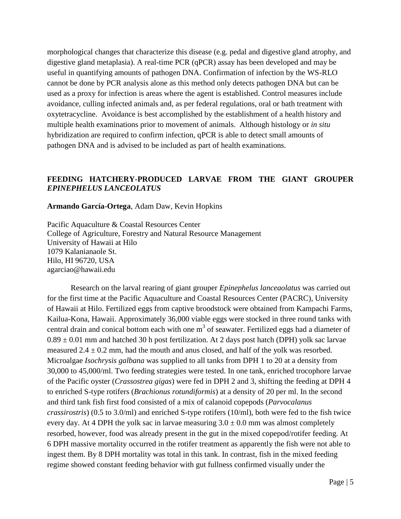morphological changes that characterize this disease (e.g. pedal and digestive gland atrophy, and digestive gland metaplasia). A real-time PCR (qPCR) assay has been developed and may be useful in quantifying amounts of pathogen DNA. Confirmation of infection by the WS-RLO cannot be done by PCR analysis alone as this method only detects pathogen DNA but can be used as a proxy for infection is areas where the agent is established. Control measures include avoidance, culling infected animals and, as per federal regulations, oral or bath treatment with oxytetracycline. Avoidance is best accomplished by the establishment of a health history and multiple health examinations prior to movement of animals. Although histology or *in situ* hybridization are required to confirm infection, qPCR is able to detect small amounts of pathogen DNA and is advised to be included as part of health examinations.

#### **FEEDING HATCHERY-PRODUCED LARVAE FROM THE GIANT GROUPER**  *EPINEPHELUS LANCEOLATUS*

**Armando García-Ortega**, Adam Daw, Kevin Hopkins

Pacific Aquaculture & Coastal Resources Center College of Agriculture, Forestry and Natural Resource Management University of Hawaii at Hilo 1079 Kalanianaole St. Hilo, HI 96720, USA [agarciao@hawaii.edu](mailto:agarciao@hawaii.edu)

Research on the larval rearing of giant grouper *Epinephelus lanceaolatus* was carried out for the first time at the Pacific Aquaculture and Coastal Resources Center (PACRC), University of Hawaii at Hilo. Fertilized eggs from captive broodstock were obtained from Kampachi Farms, Kailua-Kona, Hawaii. Approximately 36,000 viable eggs were stocked in three round tanks with central drain and conical bottom each with one  $m<sup>3</sup>$  of seawater. Fertilized eggs had a diameter of  $0.89 \pm 0.01$  mm and hatched 30 h post fertilization. At 2 days post hatch (DPH) yolk sac larvae measured  $2.4 \pm 0.2$  mm, had the mouth and anus closed, and half of the yolk was resorbed. Microalgae *Isochrysis galbana* was supplied to all tanks from DPH 1 to 20 at a density from 30,000 to 45,000/ml. Two feeding strategies were tested. In one tank, enriched trocophore larvae of the Pacific oyster (*Crassostrea gigas*) were fed in DPH 2 and 3, shifting the feeding at DPH 4 to enriched S-type rotifers (*Brachionus rotundiformis*) at a density of 20 per ml. In the second and third tank fish first food consisted of a mix of calanoid copepods (*Parvocalanus crassirostris*) (0.5 to 3.0/ml) and enriched S-type rotifers (10/ml), both were fed to the fish twice every day. At 4 DPH the yolk sac in larvae measuring  $3.0 \pm 0.0$  mm was almost completely resorbed, however, food was already present in the gut in the mixed copepod/rotifer feeding. At 6 DPH massive mortality occurred in the rotifer treatment as apparently the fish were not able to ingest them. By 8 DPH mortality was total in this tank. In contrast, fish in the mixed feeding regime showed constant feeding behavior with gut fullness confirmed visually under the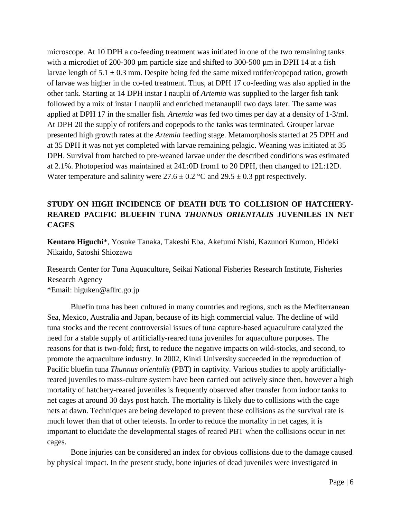microscope. At 10 DPH a co-feeding treatment was initiated in one of the two remaining tanks with a microdiet of 200-300 µm particle size and shifted to 300-500 µm in DPH 14 at a fish larvae length of  $5.1 \pm 0.3$  mm. Despite being fed the same mixed rotifer/copepod ration, growth of larvae was higher in the co-fed treatment. Thus, at DPH 17 co-feeding was also applied in the other tank. Starting at 14 DPH instar I nauplii of *Artemia* was supplied to the larger fish tank followed by a mix of instar I nauplii and enriched metanauplii two days later. The same was applied at DPH 17 in the smaller fish. *Artemia* was fed two times per day at a density of 1-3/ml. At DPH 20 the supply of rotifers and copepods to the tanks was terminated. Grouper larvae presented high growth rates at the *Artemia* feeding stage. Metamorphosis started at 25 DPH and at 35 DPH it was not yet completed with larvae remaining pelagic. Weaning was initiated at 35 DPH. Survival from hatched to pre-weaned larvae under the described conditions was estimated at 2.1%. Photoperiod was maintained at 24L:0D from1 to 20 DPH, then changed to 12L:12D. Water temperature and salinity were  $27.6 \pm 0.2$  °C and  $29.5 \pm 0.3$  ppt respectively.

# **STUDY ON HIGH INCIDENCE OF DEATH DUE TO COLLISION OF HATCHERY-REARED PACIFIC BLUEFIN TUNA** *THUNNUS ORIENTALIS* **JUVENILES IN NET CAGES**

**Kentaro Higuchi**\*, Yosuke Tanaka, Takeshi Eba, Akefumi Nishi, Kazunori Kumon, Hideki Nikaido, Satoshi Shiozawa

Research Center for Tuna Aquaculture, Seikai National Fisheries Research Institute, Fisheries Research Agency \*Email: higuken@affrc.go.jp

Bluefin tuna has been cultured in many countries and regions, such as the Mediterranean Sea, Mexico, Australia and Japan, because of its high commercial value. The decline of wild tuna stocks and the recent controversial issues of tuna capture-based aquaculture catalyzed the need for a stable supply of artificially-reared tuna juveniles for aquaculture purposes. The reasons for that is two-fold; first, to reduce the negative impacts on wild-stocks, and second, to promote the aquaculture industry. In 2002, Kinki University succeeded in the reproduction of Pacific bluefin tuna *Thunnus orientalis* (PBT) in captivity. Various studies to apply artificiallyreared juveniles to mass-culture system have been carried out actively since then, however a high mortality of hatchery-reared juveniles is frequently observed after transfer from indoor tanks to net cages at around 30 days post hatch. The mortality is likely due to collisions with the cage nets at dawn. Techniques are being developed to prevent these collisions as the survival rate is much lower than that of other teleosts. In order to reduce the mortality in net cages, it is important to elucidate the developmental stages of reared PBT when the collisions occur in net cages.

 Bone injuries can be considered an index for obvious collisions due to the damage caused by physical impact. In the present study, bone injuries of dead juveniles were investigated in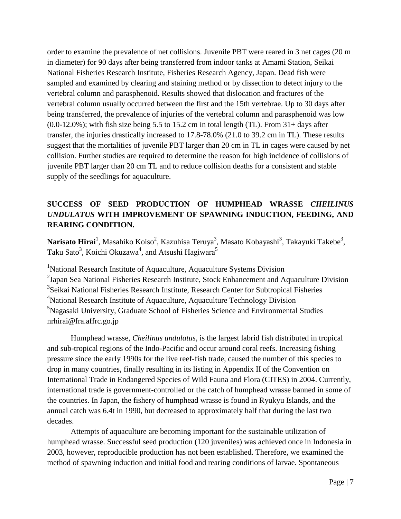order to examine the prevalence of net collisions. Juvenile PBT were reared in 3 net cages (20 m in diameter) for 90 days after being transferred from indoor tanks at Amami Station, Seikai National Fisheries Research Institute, Fisheries Research Agency, Japan. Dead fish were sampled and examined by clearing and staining method or by dissection to detect injury to the vertebral column and parasphenoid. Results showed that dislocation and fractures of the vertebral column usually occurred between the first and the 15th vertebrae. Up to 30 days after being transferred, the prevalence of injuries of the vertebral column and parasphenoid was low  $(0.0-12.0\%)$ ; with fish size being 5.5 to 15.2 cm in total length (TL). From 31+ days after transfer, the injuries drastically increased to 17.8-78.0% (21.0 to 39.2 cm in TL). These results suggest that the mortalities of juvenile PBT larger than 20 cm in TL in cages were caused by net collision. Further studies are required to determine the reason for high incidence of collisions of juvenile PBT larger than 20 cm TL and to reduce collision deaths for a consistent and stable supply of the seedlings for aquaculture.

# **SUCCESS OF SEED PRODUCTION OF HUMPHEAD WRASSE** *CHEILINUS UNDULATUS* **WITH IMPROVEMENT OF SPAWNING INDUCTION, FEEDING, AND REARING CONDITION.**

**Narisato Hirai**<sup>1</sup>, Masahiko Koiso<sup>2</sup>, Kazuhisa Teruya<sup>3</sup>, Masato Kobayashi<sup>3</sup>, Takayuki Takebe<sup>3</sup>, Taku Sato $^3$ , Koichi Okuzawa $^4$ , and Atsushi Hagiwara $^5$ 

<sup>1</sup>National Research Institute of Aquaculture, Aquaculture Systems Division  $2$ Japan Sea National Fisheries Research Institute, Stock Enhancement and Aquaculture Division <sup>3</sup>Seikai National Fisheries Research Institute, Research Center for Subtropical Fisheries <sup>4</sup>National Research Institute of Aquaculture, Aquaculture Technology Division <sup>5</sup>Nagasaki University, Graduate School of Fisheries Science and Environmental Studies nrhirai@fra.affrc.go.jp

Humphead wrasse, *Cheilinus undulatus*, is the largest labrid fish distributed in tropical and sub-tropical regions of the Indo-Pacific and occur around coral reefs. Increasing fishing pressure since the early 1990s for the live reef-fish trade, caused the number of this species to drop in many countries, finally resulting in its listing in Appendix II of the Convention on International Trade in Endangered Species of Wild Fauna and Flora (CITES) in 2004. Currently, international trade is government-controlled or the catch of humphead wrasse banned in some of the countries. In Japan, the fishery of humphead wrasse is found in Ryukyu Islands, and the annual catch was 6.4t in 1990, but decreased to approximately half that during the last two decades.

Attempts of aquaculture are becoming important for the sustainable utilization of humphead wrasse. Successful seed production (120 juveniles) was achieved once in Indonesia in 2003, however, reproducible production has not been established. Therefore, we examined the method of spawning induction and initial food and rearing conditions of larvae. Spontaneous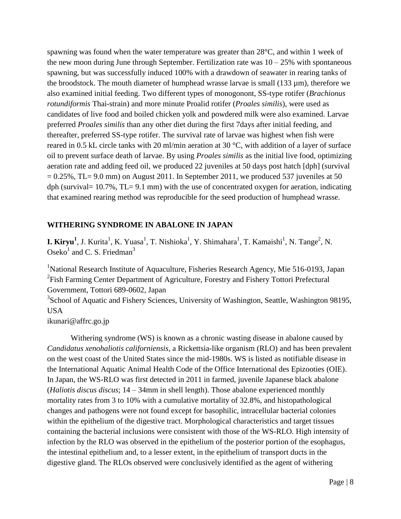spawning was found when the water temperature was greater than 28°C, and within 1 week of the new moon during June through September. Fertilization rate was  $10 - 25\%$  with spontaneous spawning, but was successfully induced 100% with a drawdown of seawater in rearing tanks of the broodstock. The mouth diameter of humphead wrasse larvae is small (133 µm), therefore we also examined initial feeding. Two different types of monogonont, SS-type rotifer (*Brachionus rotundiformis* Thai-strain) and more minute Proalid rotifer (*Proales similis*), were used as candidates of live food and boiled chicken yolk and powdered milk were also examined. Larvae preferred *Proales similis* than any other diet during the first 7days after initial feeding, and thereafter, preferred SS-type rotifer. The survival rate of larvae was highest when fish were reared in 0.5 kL circle tanks with 20 ml/min aeration at 30 °C, with addition of a layer of surface oil to prevent surface death of larvae. By using *Proales similis* as the initial live food, optimizing aeration rate and adding feed oil, we produced 22 juveniles at 50 days post hatch [dph] (survival  $= 0.25\%$ , TL= 9.0 mm) on August 2011. In September 2011, we produced 537 juveniles at 50 dph (survival=  $10.7\%$ , TL=  $9.1 \text{ mm}$ ) with the use of concentrated oxygen for aeration, indicating that examined rearing method was reproducible for the seed production of humphead wrasse.

#### **WITHERING SYNDROME IN ABALONE IN JAPAN**

**I. Kiryu<sup>1</sup>**, J. Kurita<sup>1</sup>, K. Yuasa<sup>1</sup>, T. Nishioka<sup>1</sup>, Y. Shimahara<sup>1</sup>, T. Kamaishi<sup>1</sup>, N. Tange<sup>2</sup>, N. Oseko<sup>1</sup> and C. S. Friedman<sup>3</sup>

<sup>1</sup>National Research Institute of Aquaculture, Fisheries Research Agency, Mie 516-0193, Japan  $2$ Fish Farming Center Department of Agriculture, Forestry and Fishery Tottori Prefectural Government, Tottori 689-0602, Japan

<sup>3</sup>School of Aquatic and Fishery Sciences, University of Washington, Seattle, Washington 98195, USA

ikunari@affrc.go.jp

Withering syndrome (WS) is known as a chronic wasting disease in abalone caused by *Candidatus xenohaliotis californiensis*, a Rickettsia-like organism (RLO) and has been prevalent on the west coast of the United States since the mid-1980s. WS is listed as notifiable disease in the International Aquatic Animal Health Code of the Office International des Epizooties (OIE). In Japan, the WS-RLO was first detected in 2011 in farmed, juvenile Japanese black abalone (*Haliotis discus discus*; 14 – 34mm in shell length). Those abalone experienced monthly mortality rates from 3 to 10% with a cumulative mortality of 32.8%, and histopathological changes and pathogens were not found except for basophilic, intracellular bacterial colonies within the epithelium of the digestive tract. Morphological characteristics and target tissues containing the bacterial inclusions were consistent with those of the WS-RLO. High intensity of infection by the RLO was observed in the epithelium of the posterior portion of the esophagus, the intestinal epithelium and, to a lesser extent, in the epithelium of transport ducts in the digestive gland. The RLOs observed were conclusively identified as the agent of withering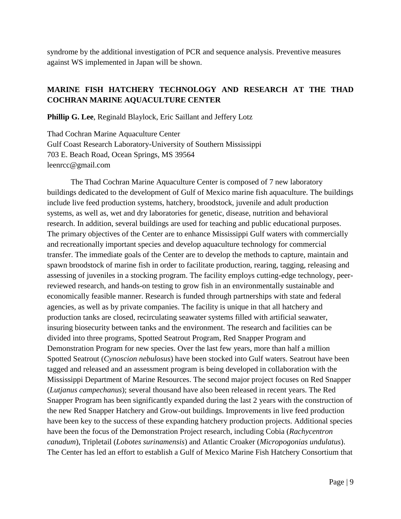syndrome by the additional investigation of PCR and sequence analysis. Preventive measures against WS implemented in Japan will be shown.

# **MARINE FISH HATCHERY TECHNOLOGY AND RESEARCH AT THE THAD COCHRAN MARINE AQUACULTURE CENTER**

**Phillip G. Lee**, Reginald Blaylock, Eric Saillant and Jeffery Lotz

Thad Cochran Marine Aquaculture Center Gulf Coast Research Laboratory-University of Southern Mississippi 703 E. Beach Road, Ocean Springs, MS 39564 leenrcc@gmail.com

The Thad Cochran Marine Aquaculture Center is composed of 7 new laboratory buildings dedicated to the development of Gulf of Mexico marine fish aquaculture. The buildings include live feed production systems, hatchery, broodstock, juvenile and adult production systems, as well as, wet and dry laboratories for genetic, disease, nutrition and behavioral research. In addition, several buildings are used for teaching and public educational purposes. The primary objectives of the Center are to enhance Mississippi Gulf waters with commercially and recreationally important species and develop aquaculture technology for commercial transfer. The immediate goals of the Center are to develop the methods to capture, maintain and spawn broodstock of marine fish in order to facilitate production, rearing, tagging, releasing and assessing of juveniles in a stocking program. The facility employs cutting-edge technology, peerreviewed research, and hands-on testing to grow fish in an environmentally sustainable and economically feasible manner. Research is funded through partnerships with state and federal agencies, as well as by private companies. The facility is unique in that all hatchery and production tanks are closed, recirculating seawater systems filled with artificial seawater, insuring biosecurity between tanks and the environment. The research and facilities can be divided into three programs, Spotted Seatrout Program, Red Snapper Program and Demonstration Program for new species. Over the last few years, more than half a million Spotted Seatrout (*Cynoscion nebulosus*) have been stocked into Gulf waters. Seatrout have been tagged and released and an assessment program is being developed in collaboration with the Mississippi Department of Marine Resources. The second major project focuses on Red Snapper (*Lutjanus campechanus*); several thousand have also been released in recent years. The Red Snapper Program has been significantly expanded during the last 2 years with the construction of the new Red Snapper Hatchery and Grow-out buildings. Improvements in live feed production have been key to the success of these expanding hatchery production projects. Additional species have been the focus of the Demonstration Project research, including Cobia (*Rachycentron canadum*), Tripletail (*Lobotes surinamensis*) and Atlantic Croaker (*Micropogonias undulatus*). The Center has led an effort to establish a Gulf of Mexico Marine Fish Hatchery Consortium that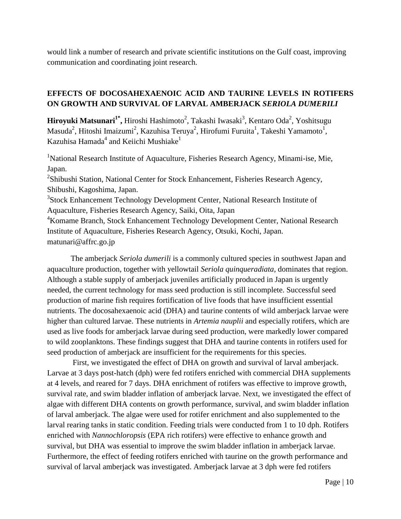would link a number of research and private scientific institutions on the Gulf coast, improving communication and coordinating joint research.

# **EFFECTS OF DOCOSAHEXAENOIC ACID AND TAURINE LEVELS IN ROTIFERS ON GROWTH AND SURVIVAL OF LARVAL AMBERJACK** *SERIOLA DUMERILI*

 $\mathbf{H}$ iroyuki Matsunari $^{1^*}\!,$  Hiroshi Hashimoto $^2$ , Takashi Iwasaki $^3$ , Kentaro Oda $^2$ , Yoshitsugu Masuda $^2$ , Hitoshi Imaizumi $^2$ , Kazuhisa Teruya $^2$ , Hirofumi Furuita $^1$ , Takeshi Yamamoto $^1$ , Kazuhisa Hamada $^4$  and Keiichi Mushiake $^1$ 

<sup>1</sup>National Research Institute of Aquaculture, Fisheries Research Agency, Minami-ise, Mie, Japan.

<sup>2</sup>Shibushi Station, National Center for Stock Enhancement, Fisheries Research Agency, Shibushi, Kagoshima, Japan.

<sup>3</sup>Stock Enhancement Technology Development Center, National Research Institute of Aquaculture, Fisheries Research Agency, Saiki, Oita, Japan

<sup>4</sup>Komame Branch, Stock Enhancement Technology Development Center, National Research Institute of Aquaculture, Fisheries Research Agency, Otsuki, Kochi, Japan. matunari@affrc.go.jp

The amberjack *Seriola dumerili* is a commonly cultured species in southwest Japan and aquaculture production, together with yellowtail *Seriola quinqueradiata,* dominates that region. Although a stable supply of amberjack juveniles artificially produced in Japan is urgently needed, the current technology for mass seed production is still incomplete. Successful seed production of marine fish requires fortification of live foods that have insufficient essential nutrients. The docosahexaenoic acid (DHA) and taurine contents of wild amberjack larvae were higher than cultured larvae. These nutrients in *Artemia nauplii* and especially rotifers, which are used as live foods for amberjack larvae during seed production, were markedly lower compared to wild zooplanktons. These findings suggest that DHA and taurine contents in rotifers used for seed production of amberjack are insufficient for the requirements for this species.

 First, we investigated the effect of DHA on growth and survival of larval amberjack. Larvae at 3 days post-hatch (dph) were fed rotifers enriched with commercial DHA supplements at 4 levels, and reared for 7 days. DHA enrichment of rotifers was effective to improve growth, survival rate, and swim bladder inflation of amberjack larvae. Next, we investigated the effect of algae with different DHA contents on growth performance, survival, and swim bladder inflation of larval amberjack. The algae were used for rotifer enrichment and also supplemented to the larval rearing tanks in static condition. Feeding trials were conducted from 1 to 10 dph. Rotifers enriched with *Nannochloropsis* (EPA rich rotifers) were effective to enhance growth and survival, but DHA was essential to improve the swim bladder inflation in amberjack larvae. Furthermore, the effect of feeding rotifers enriched with taurine on the growth performance and survival of larval amberjack was investigated. Amberjack larvae at 3 dph were fed rotifers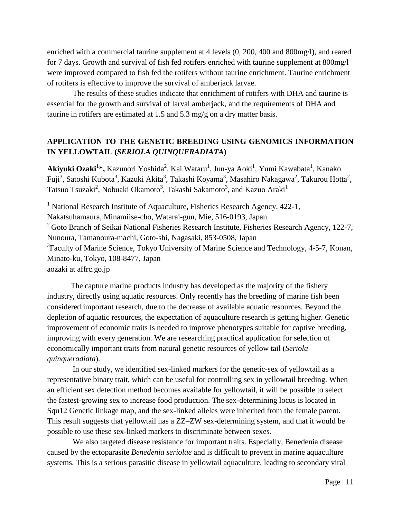enriched with a commercial taurine supplement at 4 levels (0, 200, 400 and 800mg/l), and reared for 7 days. Growth and survival of fish fed rotifers enriched with taurine supplement at 800mg/l were improved compared to fish fed the rotifers without taurine enrichment. Taurine enrichment of rotifers is effective to improve the survival of amberjack larvae.

 The results of these studies indicate that enrichment of rotifers with DHA and taurine is essential for the growth and survival of larval amberjack, and the requirements of DHA and taurine in rotifers are estimated at 1.5 and 5.3 mg/g on a dry matter basis.

# **APPLICATION TO THE GENETIC BREEDING USING GENOMICS INFORMATION IN YELLOWTAIL (***SERIOLA QUINQUERADIATA***)**

Akiyuki Ozaki<sup>1</sup>\*, Kazunori Yoshida<sup>2</sup>, Kai Wataru<sup>1</sup>, Jun-ya Aoki<sup>1</sup>, Yumi Kawabata<sup>1</sup>, Kanako Fuji<sup>3</sup>, Satoshi Kubota<sup>3</sup>, Kazuki Akita<sup>3</sup>, Takashi Koyama<sup>3</sup>, Masahiro Nakagawa<sup>2</sup>, Takurou Hotta<sup>2</sup>, Tatsuo Tsuzaki<sup>2</sup>, Nobuaki Okamoto<sup>3</sup>, Takashi Sakamoto<sup>3</sup>, and Kazuo Araki<sup>1</sup>

<sup>1</sup> National Research Institute of Aquaculture, Fisheries Research Agency,  $422-1$ , Nakatsuhamaura, Minamiise-cho, Watarai-gun, Mie, 516-0193, Japan  $2^2$  Goto Branch of Seikai National Fisheries Research Institute, Fisheries Research Agency, 122-7, Nunoura, Tamanoura-machi, Goto-shi, Nagasaki, 853-0508, Japan <sup>3</sup> Faculty of Marine Science, Tokyo University of Marine Science and Technology, 4-5-7, Konan, Minato-ku, Tokyo, 108-8477, Japan aozaki at affrc.go.jp

The capture marine products industry has developed as the majority of the fishery industry, directly using aquatic resources. Only recently has the breeding of marine fish been considered important research, due to the decrease of available aquatic resources. Beyond the depletion of aquatic resources, the expectation of aquaculture research is getting higher. Genetic improvement of economic traits is needed to improve phenotypes suitable for captive breeding, improving with every generation. We are researching practical application for selection of economically important traits from natural genetic resources of yellow tail (*Seriola quinqueradiata*).

 In our study, we identified sex-linked markers for the genetic-sex of yellowtail as a representative binary trait, which can be useful for controlling sex in yellowtail breeding. When an efficient sex detection method becomes available for yellowtail, it will be possible to select the fastest-growing sex to increase food production. The sex-determining locus is located in Squ12 Genetic linkage map, and the sex-linked alleles were inherited from the female parent. This result suggests that yellowtail has a ZZ–ZW sex-determining system, and that it would be possible to use these sex-linked markers to discriminate between sexes.

 We also targeted disease resistance for important traits. Especially, Benedenia disease caused by the ectoparasite *Benedenia seriolae* and is difficult to prevent in marine aquaculture systems. This is a serious parasitic disease in yellowtail aquaculture, leading to secondary viral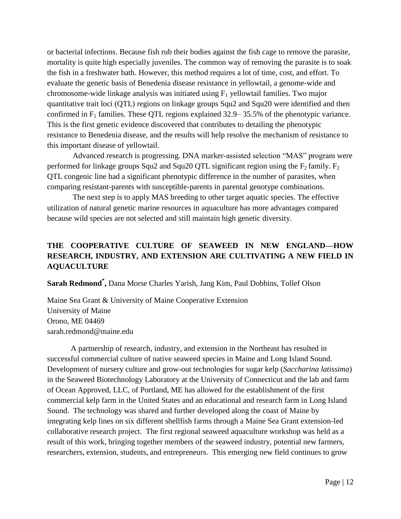or bacterial infections. Because fish rub their bodies against the fish cage to remove the parasite, mortality is quite high especially juveniles. The common way of removing the parasite is to soak the fish in a freshwater bath. However, this method requires a lot of time, cost, and effort. To evaluate the genetic basis of Benedenia disease resistance in yellowtail, a genome-wide and chromosome-wide linkage analysis was initiated using  $F_1$  yellowtail families. Two major quantitative trait loci (QTL) regions on linkage groups Squ2 and Squ20 were identified and then confirmed in  $F_1$  families. These QTL regions explained 32.9–35.5% of the phenotypic variance. This is the first genetic evidence discovered that contributes to detailing the phenotypic resistance to Benedenia disease, and the results will help resolve the mechanism of resistance to this important disease of yellowtail.

 Advanced research is progressing. DNA marker-assisted selection "MAS" program were performed for linkage groups Squ2 and Squ20 QTL significant region using the  $F_2$  family.  $F_2$ QTL congenic line had a significant phenotypic difference in the number of parasites, when comparing resistant-parents with susceptible-parents in parental genotype combinations.

 The next step is to apply MAS breeding to other target aquatic species. The effective utilization of natural genetic marine resources in aquaculture has more advantages compared because wild species are not selected and still maintain high genetic diversity.

# **THE COOPERATIVE CULTURE OF SEAWEED IN NEW ENGLAND—HOW RESEARCH, INDUSTRY, AND EXTENSION ARE CULTIVATING A NEW FIELD IN AQUACULTURE**

**Sarah Redmond\* ,** Dana Morse Charles Yarish, Jang Kim, Paul Dobbins, Tollef Olson

Maine Sea Grant & University of Maine Cooperative Extension University of Maine Orono, ME 04469 sarah.redmond@maine.edu

A partnership of research, industry, and extension in the Northeast has resulted in successful commercial culture of native seaweed species in Maine and Long Island Sound. Development of nursery culture and grow-out technologies for sugar kelp (*Saccharina latissima*) in the Seaweed Biotechnology Laboratory at the University of Connecticut and the lab and farm of Ocean Approved, LLC, of Portland, ME has allowed for the establishment of the first commercial kelp farm in the United States and an educational and research farm in Long Island Sound. The technology was shared and further developed along the coast of Maine by integrating kelp lines on six different shellfish farms through a Maine Sea Grant extension-led collaborative research project. The first regional seaweed aquaculture workshop was held as a result of this work, bringing together members of the seaweed industry, potential new farmers, researchers, extension, students, and entrepreneurs. This emerging new field continues to grow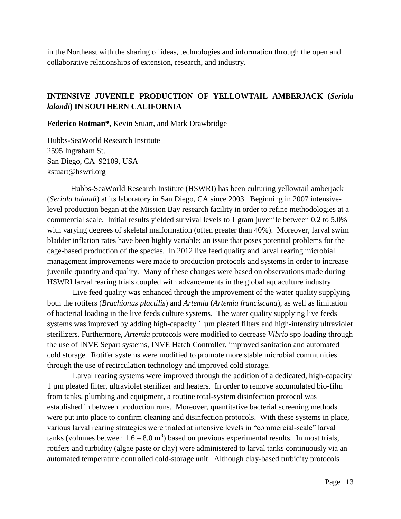in the Northeast with the sharing of ideas, technologies and information through the open and collaborative relationships of extension, research, and industry.

## **INTENSIVE JUVENILE PRODUCTION OF YELLOWTAIL AMBERJACK (***Seriola lalandi***) IN SOUTHERN CALIFORNIA**

**Federico Rotman\*,** Kevin Stuart, and Mark Drawbridge

Hubbs-SeaWorld Research Institute 2595 Ingraham St. San Diego, CA 92109, USA kstuart@hswri.org

Hubbs-SeaWorld Research Institute (HSWRI) has been culturing yellowtail amberjack (*Seriola lalandi*) at its laboratory in San Diego, CA since 2003. Beginning in 2007 intensivelevel production began at the Mission Bay research facility in order to refine methodologies at a commercial scale. Initial results yielded survival levels to 1 gram juvenile between 0.2 to 5.0% with varying degrees of skeletal malformation (often greater than 40%). Moreover, larval swim bladder inflation rates have been highly variable; an issue that poses potential problems for the cage-based production of the species. In 2012 live feed quality and larval rearing microbial management improvements were made to production protocols and systems in order to increase juvenile quantity and quality. Many of these changes were based on observations made during HSWRI larval rearing trials coupled with advancements in the global aquaculture industry.

 Live feed quality was enhanced through the improvement of the water quality supplying both the rotifers (*Brachionus plactilis*) and *Artemia* (*Artemia franciscana*), as well as limitation of bacterial loading in the live feeds culture systems. The water quality supplying live feeds systems was improved by adding high-capacity 1  $\mu$ m pleated filters and high-intensity ultraviolet sterilizers. Furthermore, *Artemia* protocols were modified to decrease *Vibrio* spp loading through the use of INVE Separt systems, INVE Hatch Controller, improved sanitation and automated cold storage. Rotifer systems were modified to promote more stable microbial communities through the use of recirculation technology and improved cold storage.

 Larval rearing systems were improved through the addition of a dedicated, high-capacity 1 µm pleated filter, ultraviolet sterilizer and heaters. In order to remove accumulated bio-film from tanks, plumbing and equipment, a routine total-system disinfection protocol was established in between production runs. Moreover, quantitative bacterial screening methods were put into place to confirm cleaning and disinfection protocols. With these systems in place, various larval rearing strategies were trialed at intensive levels in "commercial-scale" larval tanks (volumes between  $1.6 - 8.0 \text{ m}^3$ ) based on previous experimental results. In most trials, rotifers and turbidity (algae paste or clay) were administered to larval tanks continuously via an automated temperature controlled cold-storage unit. Although clay-based turbidity protocols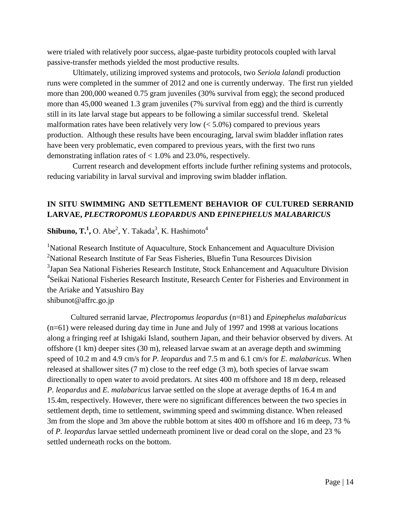were trialed with relatively poor success, algae-paste turbidity protocols coupled with larval passive-transfer methods yielded the most productive results.

 Ultimately, utilizing improved systems and protocols, two *Seriola lalandi* production runs were completed in the summer of 2012 and one is currently underway. The first run yielded more than 200,000 weaned 0.75 gram juveniles (30% survival from egg); the second produced more than 45,000 weaned 1.3 gram juveniles (7% survival from egg) and the third is currently still in its late larval stage but appears to be following a similar successful trend. Skeletal malformation rates have been relatively very low  $(< 5.0\%)$  compared to previous years production. Although these results have been encouraging, larval swim bladder inflation rates have been very problematic, even compared to previous years, with the first two runs demonstrating inflation rates of < 1.0% and 23.0%, respectively.

 Current research and development efforts include further refining systems and protocols, reducing variability in larval survival and improving swim bladder inflation.

#### **IN SITU SWIMMING AND SETTLEMENT BEHAVIOR OF CULTURED SERRANID LARVAE,** *PLECTROPOMUS LEOPARDUS* **AND** *EPINEPHELUS MALABARICUS*

 $\mathbf{Shibuno}, \mathbf{T.^1}, \mathbf{O}.$  Abe<sup>2</sup>, Y. Takada $^3$ , K. Hashimoto $^4$ 

<sup>1</sup>National Research Institute of Aquaculture, Stock Enhancement and Aquaculture Division <sup>2</sup>National Research Institute of Far Seas Fisheries, Bluefin Tuna Resources Division <sup>3</sup>Japan Sea National Fisheries Research Institute, Stock Enhancement and Aquaculture Division <sup>4</sup>Seikai National Fisheries Research Institute, Research Center for Fisheries and Environment in the Ariake and Yatsushiro Bay

shibunot@affrc.go.jp

Cultured serranid larvae, *Plectropomus leopardus* (n=81) and *Epinephelus malabaricus* (n=61) were released during day time in June and July of 1997 and 1998 at various locations along a fringing reef at Ishigaki Island, southern Japan, and their behavior observed by divers. At offshore (1 km) deeper sites (30 m), released larvae swam at an average depth and swimming speed of 10.2 m and 4.9 cm/s for *P. leopardus* and 7.5 m and 6.1 cm/s for *E. malabaricus*. When released at shallower sites (7 m) close to the reef edge (3 m), both species of larvae swam directionally to open water to avoid predators. At sites 400 m offshore and 18 m deep, released *P. leopardus* and *E. malabaricus* larvae settled on the slope at average depths of 16.4 m and 15.4m, respectively. However, there were no significant differences between the two species in settlement depth, time to settlement, swimming speed and swimming distance. When released 3m from the slope and 3m above the rubble bottom at sites 400 m offshore and 16 m deep, 73 % of *P. leopardus* larvae settled underneath prominent live or dead coral on the slope, and 23 % settled underneath rocks on the bottom.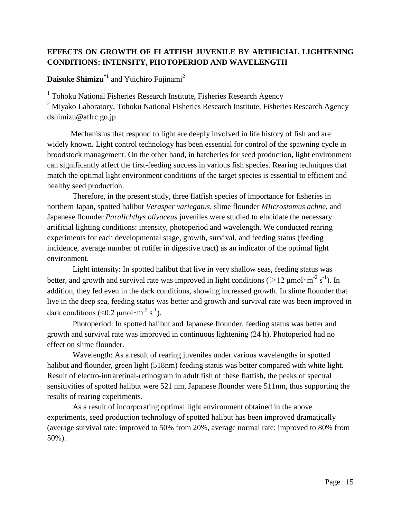# **EFFECTS ON GROWTH OF FLATFISH JUVENILE BY ARTIFICIAL LIGHTENING CONDITIONS: INTENSITY, PHOTOPERIOD AND WAVELENGTH**

**Daisuke Shimizu\*1** and Yuichiro Fujinami<sup>2</sup>

<sup>1</sup> Tohoku National Fisheries Research Institute, Fisheries Research Agency

 $2$  Miyako Laboratory, Tohoku National Fisheries Research Institute, Fisheries Research Agency [dshimizu@affrc.go.jp](mailto:dshimizu@affrc.go.jp)

Mechanisms that respond to light are deeply involved in life history of fish and are widely known. Light control technology has been essential for control of the spawning cycle in broodstock management. On the other hand, in hatcheries for seed production, light environment can significantly affect the first-feeding success in various fish species. Rearing techniques that match the optimal light environment conditions of the target species is essential to efficient and healthy seed production.

 Therefore, in the present study, three flatfish species of importance for fisheries in northern Japan, spotted halibut *Verasper variegatus*, slime flounder *MIicrostomus achne*, and Japanese flounder *Paralichthys olivaceus* juveniles were studied to elucidate the necessary artificial lighting conditions: intensity, photoperiod and wavelength. We conducted rearing experiments for each developmental stage, growth, survival, and feeding status (feeding incidence, average number of rotifer in digestive tract) as an indicator of the optimal light environment.

 Light intensity: In spotted halibut that live in very shallow seas, feeding status was better, and growth and survival rate was improved in light conditions ( $>12 \mu$ mol·m<sup>-2</sup> s<sup>-1</sup>). In addition, they fed even in the dark conditions, showing increased growth. In slime flounder that live in the deep sea, feeding status was better and growth and survival rate was been improved in dark conditions (<0.2  $\mu$ mol·m<sup>-2</sup> s<sup>-1</sup>).

 Photoperiod: In spotted halibut and Japanese flounder, feeding status was better and growth and survival rate was improved in continuous lightening (24 h). Photoperiod had no effect on slime flounder.

 Wavelength: As a result of rearing juveniles under various wavelengths in spotted halibut and flounder, green light (518nm) feeding status was better compared with white light. Result of electro-intraretinal-retinogram in adult fish of these flatfish, the peaks of spectral sensitivities of spotted halibut were 521 nm, Japanese flounder were 511nm, thus supporting the results of rearing experiments.

 As a result of incorporating optimal light environment obtained in the above experiments, seed production technology of spotted halibut has been improved dramatically (average survival rate: improved to 50% from 20%, average normal rate: improved to 80% from 50%).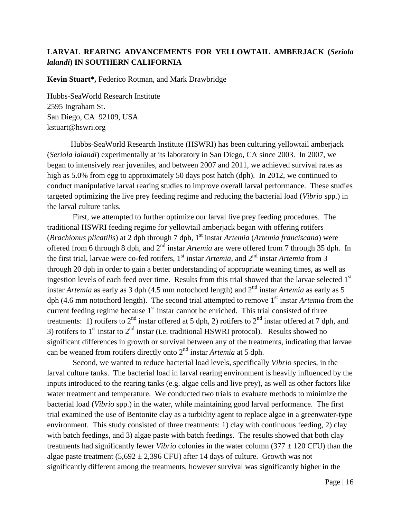### **LARVAL REARING ADVANCEMENTS FOR YELLOWTAIL AMBERJACK (***Seriola lalandi***) IN SOUTHERN CALIFORNIA**

**Kevin Stuart\*,** Federico Rotman, and Mark Drawbridge

Hubbs-SeaWorld Research Institute 2595 Ingraham St. San Diego, CA 92109, USA kstuart@hswri.org

Hubbs-SeaWorld Research Institute (HSWRI) has been culturing yellowtail amberjack (*Seriola lalandi*) experimentally at its laboratory in San Diego, CA since 2003. In 2007, we began to intensively rear juveniles, and between 2007 and 2011, we achieved survival rates as high as 5.0% from egg to approximately 50 days post hatch (dph). In 2012, we continued to conduct manipulative larval rearing studies to improve overall larval performance. These studies targeted optimizing the live prey feeding regime and reducing the bacterial load (*Vibrio* spp.) in the larval culture tanks.

 First, we attempted to further optimize our larval live prey feeding procedures. The traditional HSWRI feeding regime for yellowtail amberjack began with offering rotifers (*Brachionus plicatilis*) at 2 dph through 7 dph, 1<sup>st</sup> instar *Artemia* (*Artemia franciscana*) were offered from 6 through 8 dph, and 2<sup>nd</sup> instar *Artemia* are were offered from 7 through 35 dph. In the first trial, larvae were co-fed rotifers, 1<sup>st</sup> instar *Artemia*, and 2<sup>nd</sup> instar *Artemia* from 3 through 20 dph in order to gain a better understanding of appropriate weaning times, as well as ingestion levels of each feed over time. Results from this trial showed that the larvae selected 1<sup>st</sup> instar *Artemia* as early as 3 dph (4.5 mm notochord length) and 2<sup>nd</sup> instar *Artemia* as early as 5 dph (4.6 mm notochord length). The second trial attempted to remove 1<sup>st</sup> instar *Artemia* from the current feeding regime because  $1<sup>st</sup>$  instar cannot be enriched. This trial consisted of three treatments: 1) rotifers to  $2<sup>nd</sup>$  instar offered at 5 dph, 2) rotifers to  $2<sup>nd</sup>$  instar offered at 7 dph, and 3) rotifers to  $1<sup>st</sup>$  instar to  $2<sup>nd</sup>$  instar (i.e. traditional HSWRI protocol). Results showed no significant differences in growth or survival between any of the treatments, indicating that larvae can be weaned from rotifers directly onto 2nd instar *Artemia* at 5 dph.

 Second, we wanted to reduce bacterial load levels, specifically *Vibrio* species, in the larval culture tanks. The bacterial load in larval rearing environment is heavily influenced by the inputs introduced to the rearing tanks (e.g. algae cells and live prey), as well as other factors like water treatment and temperature. We conducted two trials to evaluate methods to minimize the bacterial load (*Vibrio* spp.) in the water, while maintaining good larval performance. The first trial examined the use of Bentonite clay as a turbidity agent to replace algae in a greenwater-type environment. This study consisted of three treatments: 1) clay with continuous feeding, 2) clay with batch feedings, and 3) algae paste with batch feedings. The results showed that both clay treatments had significantly fewer *Vibrio* colonies in the water column ( $377 \pm 120$  CFU) than the algae paste treatment  $(5,692 \pm 2,396$  CFU) after 14 days of culture. Growth was not significantly different among the treatments, however survival was significantly higher in the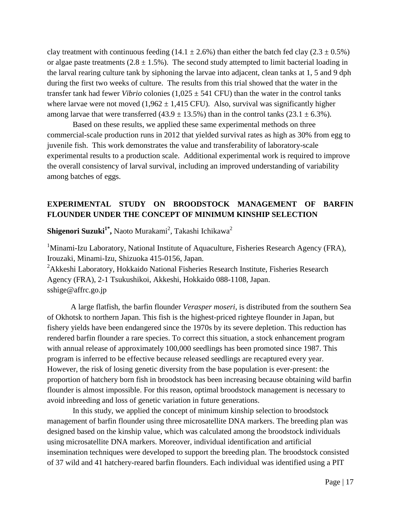clay treatment with continuous feeding (14.1  $\pm$  2.6%) than either the batch fed clay (2.3  $\pm$  0.5%) or algae paste treatments  $(2.8 \pm 1.5\%)$ . The second study attempted to limit bacterial loading in the larval rearing culture tank by siphoning the larvae into adjacent, clean tanks at 1, 5 and 9 dph during the first two weeks of culture. The results from this trial showed that the water in the transfer tank had fewer *Vibrio* colonies  $(1,025 \pm 541 \text{ CFU})$  than the water in the control tanks where larvae were not moved  $(1,962 \pm 1,415 \text{ CFU})$ . Also, survival was significantly higher among larvae that were transferred  $(43.9 \pm 13.5\%)$  than in the control tanks  $(23.1 \pm 6.3\%)$ .

 Based on these results, we applied these same experimental methods on three commercial-scale production runs in 2012 that yielded survival rates as high as 30% from egg to juvenile fish. This work demonstrates the value and transferability of laboratory-scale experimental results to a production scale. Additional experimental work is required to improve the overall consistency of larval survival, including an improved understanding of variability among batches of eggs.

#### **EXPERIMENTAL STUDY ON BROODSTOCK MANAGEMENT OF BARFIN FLOUNDER UNDER THE CONCEPT OF MINIMUM KINSHIP SELECTION**

 $\boldsymbol{\mathrm{Shigenori\; Suzuki^{1^*}}},$  Naoto Murakami $^2$ , Takashi Ichikawa $^2$ 

<sup>1</sup>Minami-Izu Laboratory, National Institute of Aquaculture, Fisheries Research Agency (FRA), Irouzaki, Minami-Izu, Shizuoka 415-0156, Japan. <sup>2</sup>Akkeshi Laboratory, Hokkaido National Fisheries Research Institute, Fisheries Research Agency (FRA), 2-1 Tsukushikoi, Akkeshi, Hokkaido 088-1108, Japan. [sshige@affrc.go.jp](mailto:sshige@affrc.go.jp)

A large flatfish, the barfin flounder *Verasper moseri*, is distributed from the southern Sea of Okhotsk to northern Japan. This fish is the highest-priced righteye flounder in Japan, but fishery yields have been endangered since the 1970s by its severe depletion. This reduction has rendered barfin flounder a rare species. To correct this situation, a stock enhancement program with annual release of approximately 100,000 seedlings has been promoted since 1987. This program is inferred to be effective because released seedlings are recaptured every year. However, the risk of losing genetic diversity from the base population is ever-present: the proportion of hatchery born fish in broodstock has been increasing because obtaining wild barfin flounder is almost impossible. For this reason, optimal broodstock management is necessary to avoid inbreeding and loss of genetic variation in future generations.

 In this study, we applied the concept of minimum kinship selection to broodstock management of barfin flounder using three microsatellite DNA markers. The breeding plan was designed based on the kinship value, which was calculated among the broodstock individuals using microsatellite DNA markers. Moreover, individual identification and artificial insemination techniques were developed to support the breeding plan. The broodstock consisted of 37 wild and 41 hatchery-reared barfin flounders. Each individual was identified using a PIT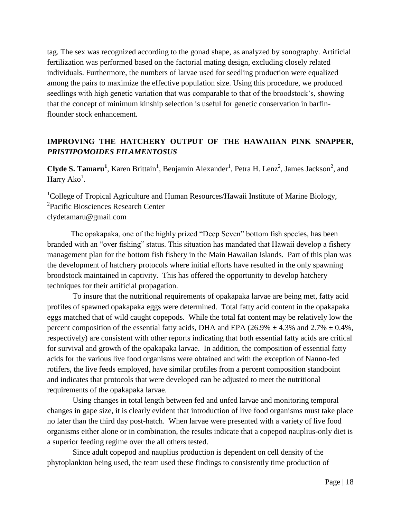tag. The sex was recognized according to the gonad shape, as analyzed by sonography. Artificial fertilization was performed based on the factorial mating design, excluding closely related individuals. Furthermore, the numbers of larvae used for seedling production were equalized among the pairs to maximize the effective population size. Using this procedure, we produced seedlings with high genetic variation that was comparable to that of the broodstock's, showing that the concept of minimum kinship selection is useful for genetic conservation in barfinflounder stock enhancement.

# **IMPROVING THE HATCHERY OUTPUT OF THE HAWAIIAN PINK SNAPPER,**  *PRISTIPOMOIDES FILAMENTOSUS*

**Clyde S. Tamaru<sup>1</sup>**, Karen Brittain<sup>1</sup>, Benjamin Alexander<sup>1</sup>, Petra H. Lenz<sup>2</sup>, James Jackson<sup>2</sup>, and Harry  $A<sup>1</sup>$ .

<sup>1</sup>College of Tropical Agriculture and Human Resources/Hawaii Institute of Marine Biology, <sup>2</sup>Pacific Biosciences Research Center clydetamaru@gmail.com

The opakapaka, one of the highly prized "Deep Seven" bottom fish species, has been branded with an "over fishing" status. This situation has mandated that Hawaii develop a fishery management plan for the bottom fish fishery in the Main Hawaiian Islands. Part of this plan was the development of hatchery protocols where initial efforts have resulted in the only spawning broodstock maintained in captivity. This has offered the opportunity to develop hatchery techniques for their artificial propagation.

 To insure that the nutritional requirements of opakapaka larvae are being met, fatty acid profiles of spawned opakapaka eggs were determined. Total fatty acid content in the opakapaka eggs matched that of wild caught copepods. While the total fat content may be relatively low the percent composition of the essential fatty acids, DHA and EPA (26.9%  $\pm$  4.3% and 2.7%  $\pm$  0.4%, respectively) are consistent with other reports indicating that both essential fatty acids are critical for survival and growth of the opakapaka larvae. In addition, the composition of essential fatty acids for the various live food organisms were obtained and with the exception of Nanno-fed rotifers, the live feeds employed, have similar profiles from a percent composition standpoint and indicates that protocols that were developed can be adjusted to meet the nutritional requirements of the opakapaka larvae.

 Using changes in total length between fed and unfed larvae and monitoring temporal changes in gape size, it is clearly evident that introduction of live food organisms must take place no later than the third day post-hatch. When larvae were presented with a variety of live food organisms either alone or in combination, the results indicate that a copepod nauplius-only diet is a superior feeding regime over the all others tested.

 Since adult copepod and nauplius production is dependent on cell density of the phytoplankton being used, the team used these findings to consistently time production of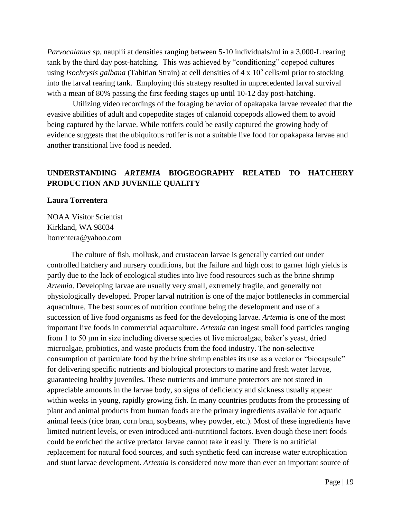*Parvocalanus sp.* nauplii at densities ranging between 5-10 individuals/ml in a 3,000-L rearing tank by the third day post-hatching. This was achieved by "conditioning" copepod cultures using *Isochrysis galbana* (Tahitian Strain) at cell densities of 4 x 10<sup>5</sup> cells/ml prior to stocking into the larval rearing tank. Employing this strategy resulted in unprecedented larval survival with a mean of 80% passing the first feeding stages up until 10-12 day post-hatching.

 Utilizing video recordings of the foraging behavior of opakapaka larvae revealed that the evasive abilities of adult and copepodite stages of calanoid copepods allowed them to avoid being captured by the larvae. While rotifers could be easily captured the growing body of evidence suggests that the ubiquitous rotifer is not a suitable live food for opakapaka larvae and another transitional live food is needed.

# **UNDERSTANDING** *ARTEMIA* **BIOGEOGRAPHY RELATED TO HATCHERY PRODUCTION AND JUVENILE QUALITY**

#### **Laura Torrentera**

NOAA Visitor Scientist Kirkland, WA 98034 ltorrentera@yahoo.com

The culture of fish, mollusk, and crustacean larvae is generally carried out under controlled hatchery and nursery conditions, but the failure and high cost to garner high yields is partly due to the lack of ecological studies into live food resources such as the brine shrimp *Artemia*. Developing larvae are usually very small, extremely fragile, and generally not physiologically developed. Proper larval nutrition is one of the major bottlenecks in commercial aquaculture. The best sources of nutrition continue being the development and use of a succession of live food organisms as feed for the developing larvae. *Artemia* is one of the most important live foods in commercial aquaculture. *Artemia* can ingest small food particles ranging from 1 to 50 μm in size including diverse species of live microalgae, baker's yeast, dried microalgae, probiotics, and waste products from the food industry. The non-selective consumption of particulate food by the brine shrimp enables its use as a vector or "biocapsule" for delivering specific nutrients and biological protectors to marine and fresh water larvae, guaranteeing healthy juveniles. These nutrients and immune protectors are not stored in appreciable amounts in the larvae body, so signs of deficiency and sickness usually appear within weeks in young, rapidly growing fish. In many countries products from the processing of plant and animal products from human foods are the primary ingredients available for aquatic animal feeds (rice bran, corn bran, soybeans, whey powder, etc.). Most of these ingredients have limited nutrient levels, or even introduced anti-nutritional factors. Even dough these inert foods could be enriched the active predator larvae cannot take it easily. There is no artificial replacement for natural food sources, and such synthetic feed can increase water eutrophication and stunt larvae development. *Artemia* is considered now more than ever an important source of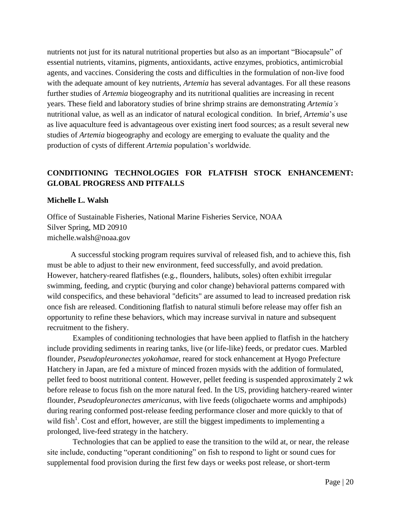nutrients not just for its natural nutritional properties but also as an important "Biocapsule" of essential nutrients, vitamins, pigments, antioxidants, active enzymes, probiotics, antimicrobial agents, and vaccines. Considering the costs and difficulties in the formulation of non-live food with the adequate amount of key nutrients, *Artemia* has several advantages. For all these reasons further studies of *Artemia* biogeography and its nutritional qualities are increasing in recent years. These field and laboratory studies of brine shrimp strains are demonstrating *Artemia's* nutritional value, as well as an indicator of natural ecological condition. In brief, *Artemia*'s use as live aquaculture feed is advantageous over existing inert food sources; as a result several new studies of *Artemia* biogeography and ecology are emerging to evaluate the quality and the production of cysts of different *Artemia* population's worldwide.

# **CONDITIONING TECHNOLOGIES FOR FLATFISH STOCK ENHANCEMENT: GLOBAL PROGRESS AND PITFALLS**

#### **Michelle L. Walsh**

Office of Sustainable Fisheries, National Marine Fisheries Service, NOAA Silver Spring, MD 20910 michelle.walsh@noaa.gov

A successful stocking program requires survival of released fish, and to achieve this, fish must be able to adjust to their new environment, feed successfully, and avoid predation. However, hatchery-reared flatfishes (e.g., flounders, halibuts, soles) often exhibit irregular swimming, feeding, and cryptic (burying and color change) behavioral patterns compared with wild conspecifics, and these behavioral "deficits" are assumed to lead to increased predation risk once fish are released. Conditioning flatfish to natural stimuli before release may offer fish an opportunity to refine these behaviors, which may increase survival in nature and subsequent recruitment to the fishery.

 Examples of conditioning technologies that have been applied to flatfish in the hatchery include providing sediments in rearing tanks, live (or life-like) feeds, or predator cues. Marbled flounder, *Pseudopleuronectes yokohamae*, reared for stock enhancement at Hyogo Prefecture Hatchery in Japan, are fed a mixture of minced frozen mysids with the addition of formulated, pellet feed to boost nutritional content. However, pellet feeding is suspended approximately 2 wk before release to focus fish on the more natural feed. In the US, providing hatchery-reared winter flounder, *Pseudopleuronectes americanus*, with live feeds (oligochaete worms and amphipods) during rearing conformed post-release feeding performance closer and more quickly to that of wild fish<sup>1</sup>. Cost and effort, however, are still the biggest impediments to implementing a prolonged, live-feed strategy in the hatchery.

 Technologies that can be applied to ease the transition to the wild at, or near, the release site include, conducting "operant conditioning" on fish to respond to light or sound cues for supplemental food provision during the first few days or weeks post release, or short-term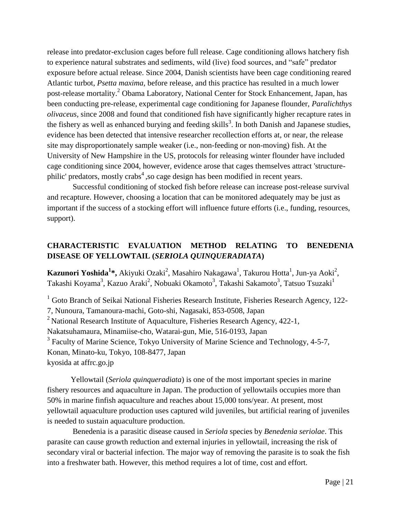release into predator-exclusion cages before full release. Cage conditioning allows hatchery fish to experience natural substrates and sediments, wild (live) food sources, and "safe" predator exposure before actual release. Since 2004, Danish scientists have been cage conditioning reared Atlantic turbot, *Psetta maxima,* before release, and this practice has resulted in a much lower post-release mortality.<sup>2</sup> Obama Laboratory, National Center for Stock Enhancement, Japan, has been conducting pre-release, experimental cage conditioning for Japanese flounder, *Paralichthys olivaceus,* since 2008 and found that conditioned fish have significantly higher recapture rates in the fishery as well as enhanced burying and feeding skills<sup>3</sup>. In both Danish and Japanese studies, evidence has been detected that intensive researcher recollection efforts at, or near, the release site may disproportionately sample weaker (i.e., non-feeding or non-moving) fish. At the University of New Hampshire in the US, protocols for releasing winter flounder have included cage conditioning since 2004, however, evidence arose that cages themselves attract 'structurephilic' predators, mostly crabs<sup>4</sup>, so cage design has been modified in recent years.

 Successful conditioning of stocked fish before release can increase post-release survival and recapture. However, choosing a location that can be monitored adequately may be just as important if the success of a stocking effort will influence future efforts (i.e., funding, resources, support).

# **CHARACTERISTIC EVALUATION METHOD RELATING TO BENEDENIA DISEASE OF YELLOWTAIL (***SERIOLA QUINQUERADIATA***)**

**Kazunori Yoshida<sup>1</sup>\*,** Akiyuki Ozaki<sup>2</sup>, Masahiro Nakagawa<sup>1</sup>, Takurou Hotta<sup>1</sup>, Jun-ya Aoki<sup>2</sup>, Takashi Koyama $^3$ , Kazuo Araki $^2$ , Nobuaki Okamoto $^3$ , Takashi Sakamoto $^3$ , Tatsuo Tsuzaki $^1$ 

 $1$  Goto Branch of Seikai National Fisheries Research Institute, Fisheries Research Agency, 122-7, Nunoura, Tamanoura-machi, Goto-shi, Nagasaki, 853-0508, Japan <sup>2</sup> National Research Institute of Aquaculture, Fisheries Research Agency,  $422-1$ , Nakatsuhamaura, Minamiise-cho, Watarai-gun, Mie, 516-0193, Japan <sup>3</sup> Faculty of Marine Science, Tokyo University of Marine Science and Technology, 4-5-7, Konan, Minato-ku, Tokyo, 108-8477, Japan kyosida at affrc.go.jp

Yellowtail (*Seriola quinqueradiata*) is one of the most important species in marine fishery resources and aquaculture in Japan. The production of yellowtails occupies more than 50% in marine finfish aquaculture and reaches about 15,000 tons/year. At present, most yellowtail aquaculture production uses captured wild juveniles, but artificial rearing of juveniles is needed to sustain aquaculture production.

 Benedenia is a parasitic disease caused in *Seriola* species by *Benedenia seriolae*. This parasite can cause growth reduction and external injuries in yellowtail, increasing the risk of secondary viral or bacterial infection. The major way of removing the parasite is to soak the fish into a freshwater bath. However, this method requires a lot of time, cost and effort.